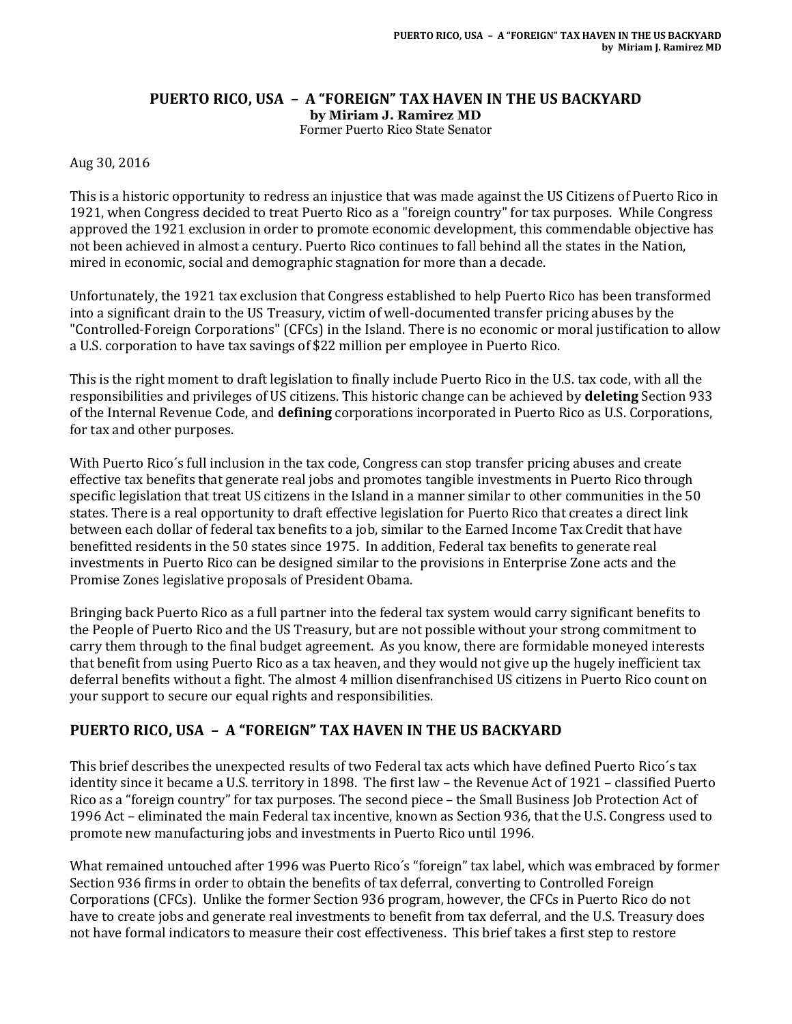# **PUERTO RICO, USA – A "FOREIGN" TAX HAVEN IN THE US BACKYARD by Miriam J. Ramirez MD**

Former Puerto Rico State Senator

Aug 30, 2016

This is a historic opportunity to redress an injustice that was made against the US Citizens of Puerto Rico in 1921, when Congress decided to treat Puerto Rico as a "foreign country" for tax purposes. While Congress approved the 1921 exclusion in order to promote economic development, this commendable objective has not been achieved in almost a century. Puerto Rico continues to fall behind all the states in the Nation, mired in economic, social and demographic stagnation for more than a decade.

Unfortunately, the 1921 tax exclusion that Congress established to help Puerto Rico has been transformed into a significant drain to the US Treasury, victim of well-documented transfer pricing abuses by the "Controlled-Foreign Corporations" (CFCs) in the Island. There is no economic or moral justification to allow a U.S. corporation to have tax savings of \$22 million per employee in Puerto Rico.

This is the right moment to draft legislation to finally include Puerto Rico in the U.S. tax code, with all the responsibilities and privileges of US citizens. This historic change can be achieved by **deleting** Section 933 of the Internal Revenue Code, and **defining** corporations incorporated in Puerto Rico as U.S. Corporations, for tax and other purposes.

With Puerto Rico´s full inclusion in the tax code, Congress can stop transfer pricing abuses and create effective tax benefits that generate real jobs and promotes tangible investments in Puerto Rico through specific legislation that treat US citizens in the Island in a manner similar to other communities in the 50 states. There is a real opportunity to draft effective legislation for Puerto Rico that creates a direct link between each dollar of federal tax benefits to a job, similar to the Earned Income Tax Credit that have benefitted residents in the 50 states since 1975. In addition, Federal tax benefits to generate real investments in Puerto Rico can be designed similar to the provisions in Enterprise Zone acts and the Promise Zones legislative proposals of President Obama.

Bringing back Puerto Rico as a full partner into the federal tax system would carry significant benefits to the People of Puerto Rico and the US Treasury, but are not possible without your strong commitment to carry them through to the final budget agreement. As you know, there are formidable moneyed interests that benefit from using Puerto Rico as a tax heaven, and they would not give up the hugely inefficient tax deferral benefits without a fight. The almost 4 million disenfranchised US citizens in Puerto Rico count on your support to secure our equal rights and responsibilities.

# **PUERTO RICO, USA – A "FOREIGN" TAX HAVEN IN THE US BACKYARD**

This brief describes the unexpected results of two Federal tax acts which have defined Puerto Rico´s tax identity since it became a U.S. territory in 1898. The first law – the Revenue Act of 1921 – classified Puerto Rico as a "foreign country" for tax purposes. The second piece – the Small Business Job Protection Act of 1996 Act – eliminated the main Federal tax incentive, known as Section 936, that the U.S. Congress used to promote new manufacturing jobs and investments in Puerto Rico until 1996.

What remained untouched after 1996 was Puerto Rico´s "foreign" tax label, which was embraced by former Section 936 firms in order to obtain the benefits of tax deferral, converting to Controlled Foreign Corporations (CFCs). Unlike the former Section 936 program, however, the CFCs in Puerto Rico do not have to create jobs and generate real investments to benefit from tax deferral, and the U.S. Treasury does not have formal indicators to measure their cost effectiveness. This brief takes a first step to restore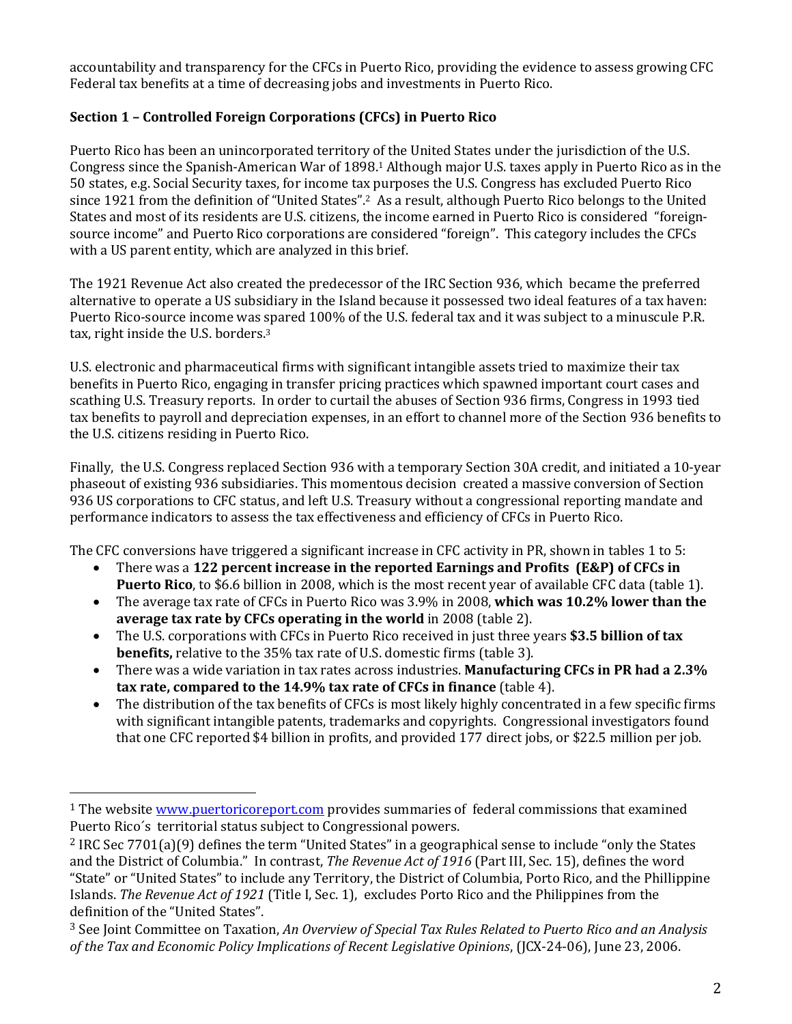accountability and transparency for the CFCs in Puerto Rico, providing the evidence to assess growing CFC Federal tax benefits at a time of decreasing jobs and investments in Puerto Rico.

## **Section 1 – Controlled Foreign Corporations (CFCs) in Puerto Rico**

Puerto Rico has been an unincorporated territory of the United States under the jurisdiction of the U.S. Congress since the Spanish-American War of 1898.<sup>1</sup> Although major U.S. taxes apply in Puerto Rico as in the 50 states, e.g. Social Security taxes, for income tax purposes the U.S. Congress has excluded Puerto Rico since 1921 from the definition of "United States". <sup>2</sup> As a result, although Puerto Rico belongs to the United States and most of its residents are U.S. citizens, the income earned in Puerto Rico is considered "foreignsource income" and Puerto Rico corporations are considered "foreign". This category includes the CFCs with a US parent entity, which are analyzed in this brief.

The 1921 Revenue Act also created the predecessor of the IRC Section 936, which became the preferred alternative to operate a US subsidiary in the Island because it possessed two ideal features of a tax haven: Puerto Rico-source income was spared 100% of the U.S. federal tax and it was subject to a minuscule P.R. tax, right inside the U.S. borders. 3

U.S. electronic and pharmaceutical firms with significant intangible assets tried to maximize their tax benefits in Puerto Rico, engaging in transfer pricing practices which spawned important court cases and scathing U.S. Treasury reports. In order to curtail the abuses of Section 936 firms, Congress in 1993 tied tax benefits to payroll and depreciation expenses, in an effort to channel more of the Section 936 benefits to the U.S. citizens residing in Puerto Rico.

Finally, the U.S. Congress replaced Section 936 with a temporary Section 30A credit, and initiated a 10-year phaseout of existing 936 subsidiaries. This momentous decision created a massive conversion of Section 936 US corporations to CFC status, and left U.S. Treasury without a congressional reporting mandate and performance indicators to assess the tax effectiveness and efficiency of CFCs in Puerto Rico.

The CFC conversions have triggered a significant increase in CFC activity in PR, shown in tables 1 to 5:

- There was a **122 percent increase in the reported Earnings and Profits (E&P) of CFCs in Puerto Rico**, to \$6.6 billion in 2008, which is the most recent year of available CFC data (table 1).
- The average tax rate of CFCs in Puerto Rico was 3.9% in 2008, **which was 10.2% lower than the average tax rate by CFCs operating in the world** in 2008 (table 2).
- The U.S. corporations with CFCs in Puerto Rico received in just three years **\$3.5 billion of tax benefits,** relative to the 35% tax rate of U.S. domestic firms (table 3).
- There was a wide variation in tax rates across industries. **Manufacturing CFCs in PR had a 2.3% tax rate, compared to the 14.9% tax rate of CFCs in finance** (table 4).
- The distribution of the tax benefits of CFCs is most likely highly concentrated in a few specific firms with significant intangible patents, trademarks and copyrights. Congressional investigators found that one CFC reported \$4 billion in profits, and provided 177 direct jobs, or \$22.5 million per job.

 $\overline{a}$ 

<sup>&</sup>lt;sup>1</sup> The websit[e www.puertoricoreport.com](http://www.puertoricoreport.com/) provides summaries of federal commissions that examined Puerto Rico´s territorial status subject to Congressional powers.

<sup>2</sup> IRC Sec 7701(a)(9) defines the term "United States" in a geographical sense to include "only the States and the District of Columbia." In contrast, *The Revenue Act of 1916* (Part III, Sec. 15), defines the word "State" or "United States" to include any Territory, the District of Columbia, Porto Rico, and the Phillippine Islands. *The Revenue Act of 1921* (Title I, Sec. 1), excludes Porto Rico and the Philippines from the definition of the "United States".

<sup>3</sup> See Joint Committee on Taxation, *An Overview of Special Tax Rules Related to Puerto Rico and an Analysis of the Tax and Economic Policy Implications of Recent Legislative Opinions*, (JCX-24-06), June 23, 2006.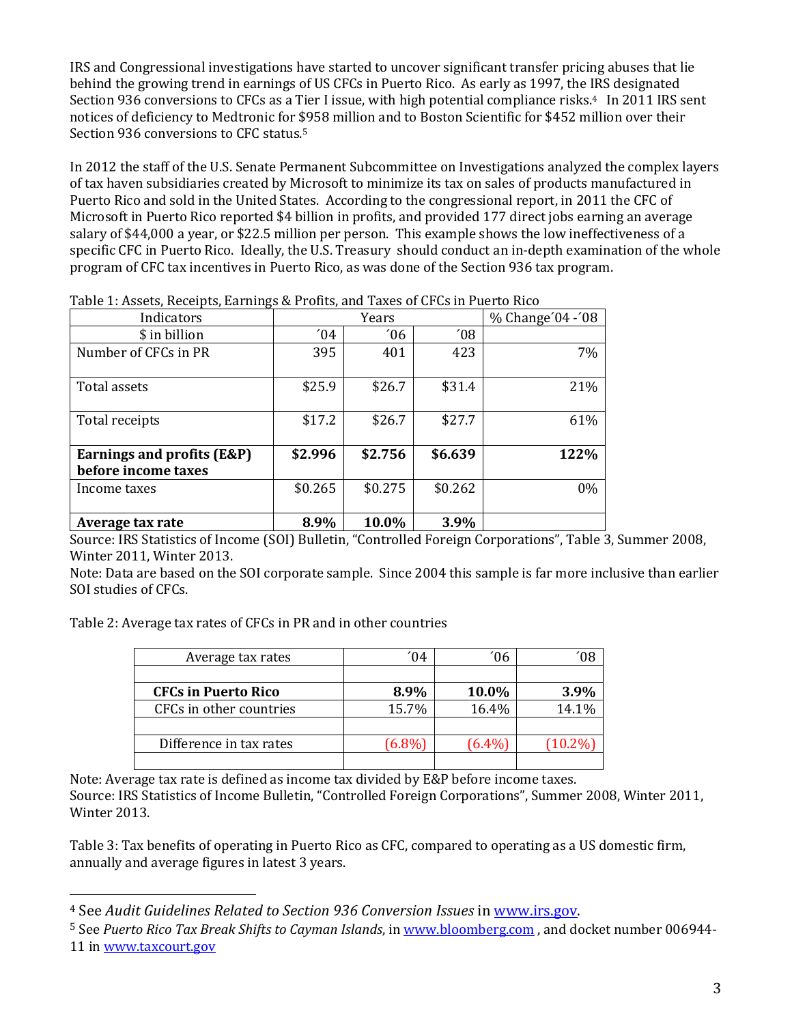IRS and Congressional investigations have started to uncover significant transfer pricing abuses that lie behind the growing trend in earnings of US CFCs in Puerto Rico. As early as 1997, the IRS designated Section 936 conversions to CFCs as a Tier I issue, with high potential compliance risks.<sup>4</sup> In 2011 IRS sent notices of deficiency to Medtronic for \$958 million and to Boston Scientific for \$452 million over their Section 936 conversions to CFC status.<sup>5</sup>

In 2012 the staff of the U.S. Senate Permanent Subcommittee on Investigations analyzed the complex layers of tax haven subsidiaries created by Microsoft to minimize its tax on sales of products manufactured in Puerto Rico and sold in the United States. According to the congressional report, in 2011 the CFC of Microsoft in Puerto Rico reported \$4 billion in profits, and provided 177 direct jobs earning an average salary of \$44,000 a year, or \$22.5 million per person. This example shows the low ineffectiveness of a specific CFC in Puerto Rico. Ideally, the U.S. Treasury should conduct an in-depth examination of the whole program of CFC tax incentives in Puerto Rico, as was done of the Section 936 tax program.

| Indicators                 |                           | Years         |               | % Change'04 -'08 |
|----------------------------|---------------------------|---------------|---------------|------------------|
| \$ in billion              | $^{\prime}$ <sub>04</sub> | $^{\prime}06$ | $^{\prime}08$ |                  |
| Number of CFCs in PR       | 395                       | 401           | 423           | 7%               |
| Total assets               | \$25.9                    | \$26.7        | \$31.4        | 21%              |
| Total receipts             | \$17.2                    | \$26.7        | \$27.7        | 61%              |
| Earnings and profits (E&P) | \$2.996                   | \$2.756       | \$6.639       | 122%             |
| before income taxes        |                           |               |               |                  |
| Income taxes               | \$0.265                   | \$0.275       | \$0.262       | $0\%$            |
| Average tax rate           | 8.9%                      | 10.0%         | 3.9%          |                  |

Table 1: Assets, Receipts, Earnings & Profits, and Taxes of CFCs in Puerto Rico

Source: IRS Statistics of Income (SOI) Bulletin, "Controlled Foreign Corporations", Table 3, Summer 2008, Winter 2011, Winter 2013.

Note: Data are based on the SOI corporate sample. Since 2004 this sample is far more inclusive than earlier SOI studies of CFCs.

Table 2: Average tax rates of CFCs in PR and in other countries

l

| Average tax rates          | 04     | 06        |          |
|----------------------------|--------|-----------|----------|
|                            |        |           |          |
| <b>CFCs in Puerto Rico</b> | 8.9%   | 10.0%     | 3.9%     |
| CFCs in other countries    | 15.7%  | 16.4%     | 14.1%    |
|                            |        |           |          |
| Difference in tax rates    | (6.8%) | $(6.4\%)$ | $10.2\%$ |
|                            |        |           |          |

Note: Average tax rate is defined as income tax divided by E&P before income taxes. Source: IRS Statistics of Income Bulletin, "Controlled Foreign Corporations", Summer 2008, Winter 2011, Winter 2013.

Table 3: Tax benefits of operating in Puerto Rico as CFC, compared to operating as a US domestic firm, annually and average figures in latest 3 years.

<sup>4</sup> See *Audit Guidelines Related to Section 936 Conversion Issues* in [www.irs.gov.](http://www.irg.gov/)

<sup>5</sup> See *Puerto Rico Tax Break Shifts to Cayman Islands*, in [www.bloomberg.com](http://www.bloomberg.com/) , and docket number 006944- 11 in [www.taxcourt.gov](http://www.taxcourt.gov/)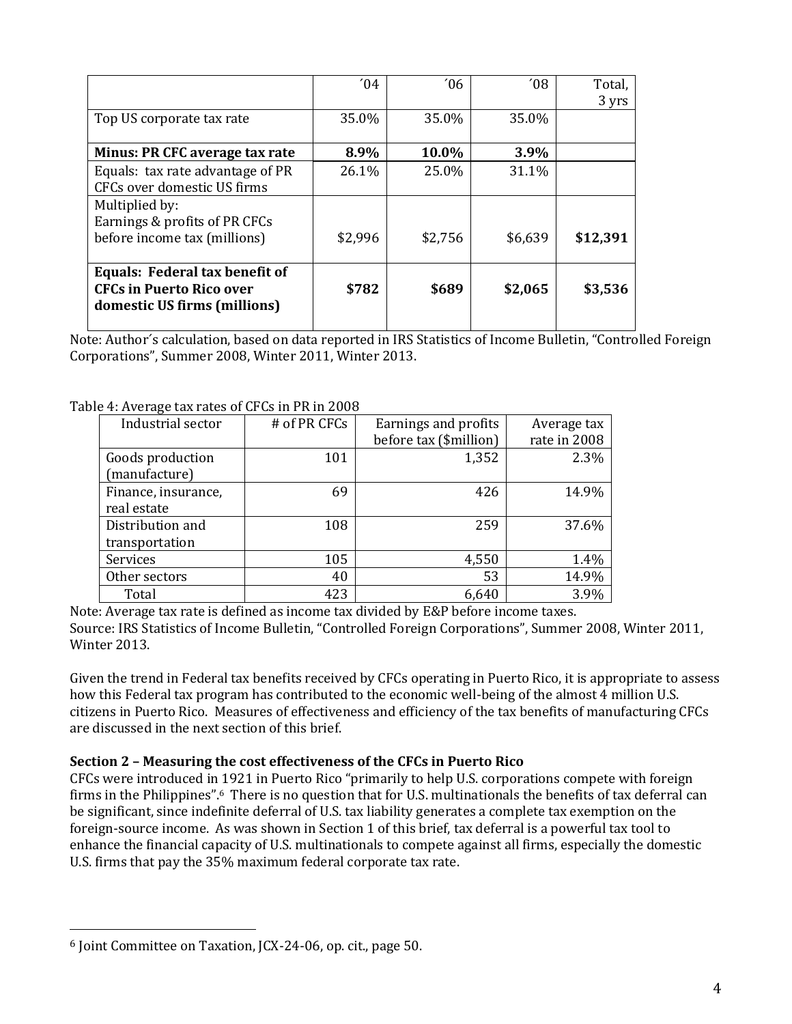|                                                                                                   | $^{\prime}$ 04 | $^{\prime}06$ | $^{\prime}08$ | Total,<br>3 yrs |
|---------------------------------------------------------------------------------------------------|----------------|---------------|---------------|-----------------|
| Top US corporate tax rate                                                                         | 35.0%          | 35.0%         | 35.0%         |                 |
| Minus: PR CFC average tax rate                                                                    | 8.9%           | 10.0%         | 3.9%          |                 |
| Equals: tax rate advantage of PR<br>CFCs over domestic US firms                                   | 26.1%          | 25.0%         | 31.1%         |                 |
| Multiplied by:                                                                                    |                |               |               |                 |
| Earnings & profits of PR CFCs<br>before income tax (millions)                                     | \$2,996        | \$2,756       | \$6,639       | \$12,391        |
| Equals: Federal tax benefit of<br><b>CFCs in Puerto Rico over</b><br>domestic US firms (millions) | \$782          | \$689         | \$2,065       | \$3,536         |

Note: Author´s calculation, based on data reported in IRS Statistics of Income Bulletin, "Controlled Foreign Corporations", Summer 2008, Winter 2011, Winter 2013.

| Industrial sector   | # of PR CFCs | Earnings and profits   | Average tax  |
|---------------------|--------------|------------------------|--------------|
|                     |              | before tax (\$million) | rate in 2008 |
| Goods production    | 101          | 1,352                  | 2.3%         |
| (manufacture)       |              |                        |              |
| Finance, insurance, | 69           | 426                    | 14.9%        |
| real estate         |              |                        |              |
| Distribution and    | 108          | 259                    | 37.6%        |
| transportation      |              |                        |              |
| Services            | 105          | 4,550                  | 1.4%         |
| Other sectors       | 40           | 53                     | 14.9%        |
| Total               | 423          | 6,640                  | 3.9%         |

Table 4: Average tax rates of CFCs in PR in 2008

Note: Average tax rate is defined as income tax divided by E&P before income taxes. Source: IRS Statistics of Income Bulletin, "Controlled Foreign Corporations", Summer 2008, Winter 2011, Winter 2013.

Given the trend in Federal tax benefits received by CFCs operating in Puerto Rico, it is appropriate to assess how this Federal tax program has contributed to the economic well-being of the almost 4 million U.S. citizens in Puerto Rico. Measures of effectiveness and efficiency of the tax benefits of manufacturing CFCs are discussed in the next section of this brief.

### **Section 2 – Measuring the cost effectiveness of the CFCs in Puerto Rico**

CFCs were introduced in 1921 in Puerto Rico "primarily to help U.S. corporations compete with foreign firms in the Philippines".6 There is no question that for U.S. multinationals the benefits of tax deferral can be significant, since indefinite deferral of U.S. tax liability generates a complete tax exemption on the foreign-source income. As was shown in Section 1 of this brief, tax deferral is a powerful tax tool to enhance the financial capacity of U.S. multinationals to compete against all firms, especially the domestic U.S. firms that pay the 35% maximum federal corporate tax rate.

l

<sup>6</sup> Joint Committee on Taxation, JCX-24-06, op. cit., page 50.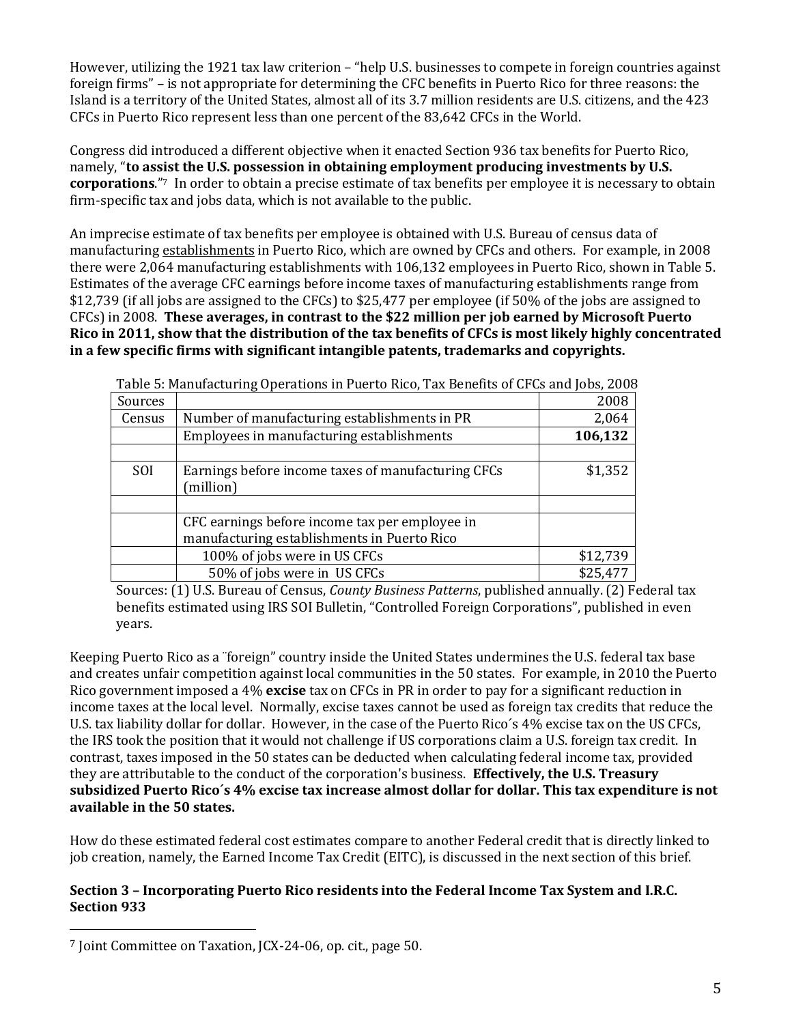However, utilizing the 1921 tax law criterion – "help U.S. businesses to compete in foreign countries against foreign firms" – is not appropriate for determining the CFC benefits in Puerto Rico for three reasons: the Island is a territory of the United States, almost all of its 3.7 million residents are U.S. citizens, and the 423 CFCs in Puerto Rico represent less than one percent of the 83,642 CFCs in the World.

Congress did introduced a different objective when it enacted Section 936 tax benefits for Puerto Rico, namely, "**to assist the U.S. possession in obtaining employment producing investments by U.S. corporations**."7 In order to obtain a precise estimate of tax benefits per employee it is necessary to obtain firm-specific tax and jobs data, which is not available to the public.

An imprecise estimate of tax benefits per employee is obtained with U.S. Bureau of census data of manufacturing establishments in Puerto Rico, which are owned by CFCs and others. For example, in 2008 there were 2,064 manufacturing establishments with 106,132 employees in Puerto Rico, shown in Table 5. Estimates of the average CFC earnings before income taxes of manufacturing establishments range from \$12,739 (if all jobs are assigned to the CFCs) to \$25,477 per employee (if 50% of the jobs are assigned to CFCs) in 2008. **These averages, in contrast to the \$22 million per job earned by Microsoft Puerto Rico in 2011, show that the distribution of the tax benefits of CFCs is most likely highly concentrated in a few specific firms with significant intangible patents, trademarks and copyrights.**

| Table 5: Manufacturing Operations in Puerto Rico, Tax Benefits of GPGs and Jobs, 2008 |                                                                |          |  |  |
|---------------------------------------------------------------------------------------|----------------------------------------------------------------|----------|--|--|
| Sources                                                                               |                                                                | 2008     |  |  |
| Census                                                                                | Number of manufacturing establishments in PR                   | 2,064    |  |  |
|                                                                                       | Employees in manufacturing establishments                      | 106,132  |  |  |
|                                                                                       |                                                                |          |  |  |
| <b>SOI</b>                                                                            | Earnings before income taxes of manufacturing CFCs<br>million) | \$1,352  |  |  |
|                                                                                       |                                                                |          |  |  |
|                                                                                       | CFC earnings before income tax per employee in                 |          |  |  |
|                                                                                       | manufacturing establishments in Puerto Rico                    |          |  |  |
|                                                                                       | 100% of jobs were in US CFCs                                   | \$12,739 |  |  |
|                                                                                       | 50% of jobs were in US CFCs                                    | \$25,477 |  |  |

Table 5: Manufacturing Operations in Puerto Rico, Tax Benefits of CFCs and Jobs, 2008

Sources: (1) U.S. Bureau of Census, *County Business Patterns*, published annually. (2) Federal tax benefits estimated using IRS SOI Bulletin, "Controlled Foreign Corporations", published in even years.

Keeping Puerto Rico as a ¨foreign" country inside the United States undermines the U.S. federal tax base and creates unfair competition against local communities in the 50 states. For example, in 2010 the Puerto Rico government imposed a 4% **excise** tax on CFCs in PR in order to pay for a significant reduction in income taxes at the local level. Normally, excise taxes cannot be used as foreign tax credits that reduce the U.S. tax liability dollar for dollar. However, in the case of the Puerto Rico´s 4% excise tax on the US CFCs, the IRS took the position that it would not challenge if US corporations claim a U.S. foreign tax credit. In contrast, taxes imposed in the 50 states can be deducted when calculating federal income tax, provided they are attributable to the conduct of the corporation's business. **Effectively, the U.S. Treasury subsidized Puerto Rico´s 4% excise tax increase almost dollar for dollar. This tax expenditure is not available in the 50 states.** 

How do these estimated federal cost estimates compare to another Federal credit that is directly linked to job creation, namely, the Earned Income Tax Credit (EITC), is discussed in the next section of this brief.

### **Section 3 – Incorporating Puerto Rico residents into the Federal Income Tax System and I.R.C. Section 933**

l

<sup>7</sup> Joint Committee on Taxation, JCX-24-06, op. cit., page 50.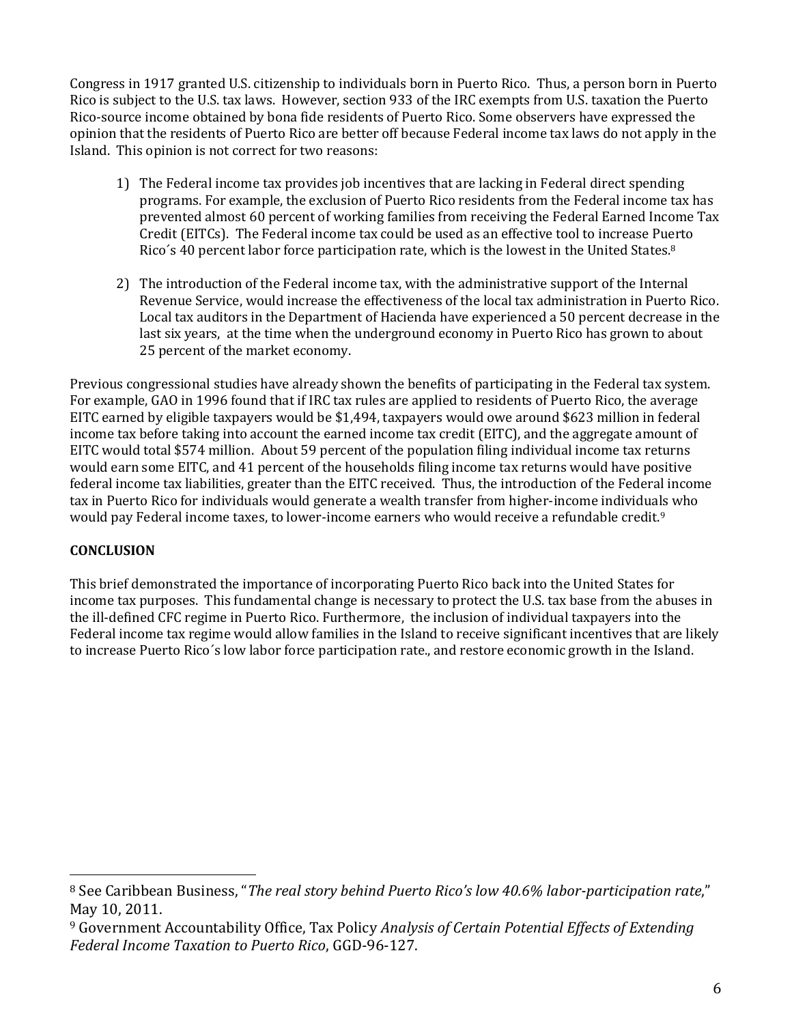Congress in 1917 granted U.S. citizenship to individuals born in Puerto Rico. Thus, a person born in Puerto Rico is subject to the U.S. tax laws. However, section 933 of the IRC exempts from U.S. taxation the Puerto Rico-source income obtained by bona fide residents of Puerto Rico. Some observers have expressed the opinion that the residents of Puerto Rico are better off because Federal income tax laws do not apply in the Island. This opinion is not correct for two reasons:

- 1) The Federal income tax provides job incentives that are lacking in Federal direct spending programs. For example, the exclusion of Puerto Rico residents from the Federal income tax has prevented almost 60 percent of working families from receiving the Federal Earned Income Tax Credit (EITCs). The Federal income tax could be used as an effective tool to increase Puerto Rico's 40 percent labor force participation rate, which is the lowest in the United States.<sup>8</sup>
- 2) The introduction of the Federal income tax, with the administrative support of the Internal Revenue Service, would increase the effectiveness of the local tax administration in Puerto Rico. Local tax auditors in the Department of Hacienda have experienced a 50 percent decrease in the last six years, at the time when the underground economy in Puerto Rico has grown to about 25 percent of the market economy.

Previous congressional studies have already shown the benefits of participating in the Federal tax system. For example, GAO in 1996 found that if IRC tax rules are applied to residents of Puerto Rico, the average EITC earned by eligible taxpayers would be \$1,494, taxpayers would owe around \$623 million in federal income tax before taking into account the earned income tax credit (EITC), and the aggregate amount of EITC would total \$574 million. About 59 percent of the population filing individual income tax returns would earn some EITC, and 41 percent of the households filing income tax returns would have positive federal income tax liabilities, greater than the EITC received. Thus, the introduction of the Federal income tax in Puerto Rico for individuals would generate a wealth transfer from higher-income individuals who would pay Federal income taxes, to lower-income earners who would receive a refundable credit.<sup>9</sup>

# **CONCLUSION**

 $\overline{a}$ 

This brief demonstrated the importance of incorporating Puerto Rico back into the United States for income tax purposes. This fundamental change is necessary to protect the U.S. tax base from the abuses in the ill-defined CFC regime in Puerto Rico. Furthermore, the inclusion of individual taxpayers into the Federal income tax regime would allow families in the Island to receive significant incentives that are likely to increase Puerto Rico´s low labor force participation rate., and restore economic growth in the Island.

<sup>8</sup> See Caribbean Business, "*The real story behind Puerto Rico's low 40.6% labor-participation rate*," May 10, 2011.

<sup>9</sup> Government Accountability Office, Tax Policy *Analysis of Certain Potential Effects of Extending Federal Income Taxation to Puerto Rico*, GGD-96-127.